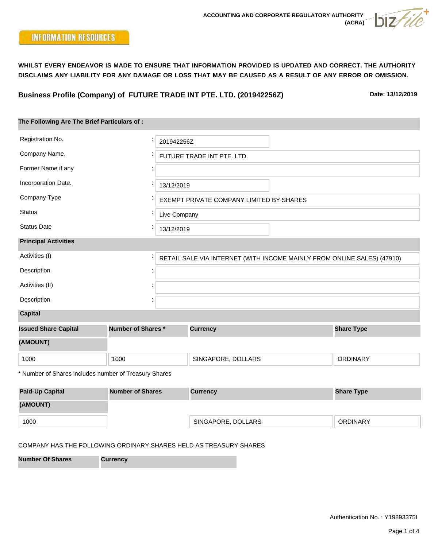

**Business Profile (Company) of FUTURE TRADE INT PTE. LTD. (201942256Z)**

**Date: 13/12/2019**

| The Following Are The Brief Particulars of:           |                         |                                                                         |                                          |  |                   |  |  |  |
|-------------------------------------------------------|-------------------------|-------------------------------------------------------------------------|------------------------------------------|--|-------------------|--|--|--|
| Registration No.                                      |                         | 201942256Z                                                              |                                          |  |                   |  |  |  |
| Company Name.                                         |                         |                                                                         | FUTURE TRADE INT PTE. LTD.               |  |                   |  |  |  |
| Former Name if any                                    |                         |                                                                         |                                          |  |                   |  |  |  |
| Incorporation Date.                                   |                         | 13/12/2019                                                              |                                          |  |                   |  |  |  |
| Company Type                                          |                         |                                                                         | EXEMPT PRIVATE COMPANY LIMITED BY SHARES |  |                   |  |  |  |
| <b>Status</b>                                         |                         | Live Company                                                            |                                          |  |                   |  |  |  |
| <b>Status Date</b>                                    |                         | 13/12/2019                                                              |                                          |  |                   |  |  |  |
| <b>Principal Activities</b>                           |                         |                                                                         |                                          |  |                   |  |  |  |
| Activities (I)                                        |                         | RETAIL SALE VIA INTERNET (WITH INCOME MAINLY FROM ONLINE SALES) (47910) |                                          |  |                   |  |  |  |
| Description                                           |                         |                                                                         |                                          |  |                   |  |  |  |
| Activities (II)                                       |                         |                                                                         |                                          |  |                   |  |  |  |
| Description                                           |                         |                                                                         |                                          |  |                   |  |  |  |
| <b>Capital</b>                                        |                         |                                                                         |                                          |  |                   |  |  |  |
| <b>Issued Share Capital</b>                           | Number of Shares*       | <b>Currency</b>                                                         |                                          |  | <b>Share Type</b> |  |  |  |
| (AMOUNT)                                              |                         |                                                                         |                                          |  |                   |  |  |  |
| 1000                                                  | 1000                    |                                                                         | SINGAPORE, DOLLARS                       |  | <b>ORDINARY</b>   |  |  |  |
| * Number of Shares includes number of Treasury Shares |                         |                                                                         |                                          |  |                   |  |  |  |
| <b>Paid-Up Capital</b>                                | <b>Number of Shares</b> |                                                                         | <b>Currency</b>                          |  | <b>Share Type</b> |  |  |  |
| (AMOUNT)                                              |                         |                                                                         |                                          |  |                   |  |  |  |
| 1000                                                  |                         |                                                                         | SINGAPORE, DOLLARS                       |  | <b>ORDINARY</b>   |  |  |  |

## COMPANY HAS THE FOLLOWING ORDINARY SHARES HELD AS TREASURY SHARES

**Number Of Shares Currency**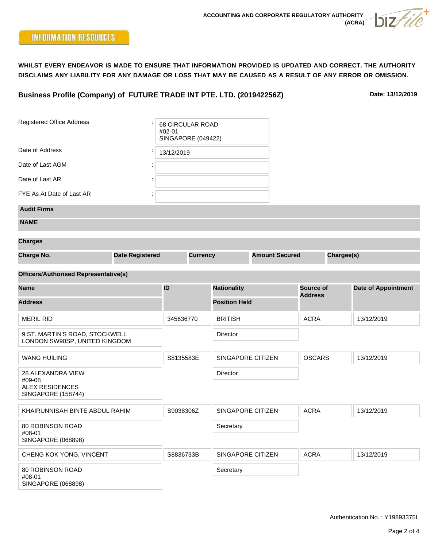**Business Profile (Company) of FUTURE TRADE INT PTE. LTD. (201942256Z)**

**Date: 13/12/2019**

| <b>Registered Office Address</b>                                                   |  | <b>68 CIRCULAR ROAD</b><br>#02-01<br><b>SINGAPORE (049422)</b> |                             |                    |                       |                |            |                            |
|------------------------------------------------------------------------------------|--|----------------------------------------------------------------|-----------------------------|--------------------|-----------------------|----------------|------------|----------------------------|
| Date of Address                                                                    |  | 13/12/2019                                                     |                             |                    |                       |                |            |                            |
| Date of Last AGM                                                                   |  |                                                                |                             |                    |                       |                |            |                            |
| Date of Last AR                                                                    |  |                                                                |                             |                    |                       |                |            |                            |
| FYE As At Date of Last AR                                                          |  |                                                                |                             |                    |                       |                |            |                            |
| <b>Audit Firms</b>                                                                 |  |                                                                |                             |                    |                       |                |            |                            |
| <b>NAME</b>                                                                        |  |                                                                |                             |                    |                       |                |            |                            |
| <b>Charges</b>                                                                     |  |                                                                |                             |                    |                       |                |            |                            |
| <b>Charge No.</b><br><b>Date Registered</b>                                        |  | <b>Currency</b>                                                |                             |                    | <b>Amount Secured</b> |                | Chargee(s) |                            |
| <b>Officers/Authorised Representative(s)</b>                                       |  |                                                                |                             |                    |                       |                |            |                            |
| <b>Name</b>                                                                        |  | ID                                                             |                             | <b>Nationality</b> |                       | Source of      |            | <b>Date of Appointment</b> |
| <b>Address</b>                                                                     |  |                                                                | <b>Position Held</b>        |                    |                       | <b>Address</b> |            |                            |
|                                                                                    |  |                                                                |                             |                    |                       |                |            |                            |
| <b>MERIL RID</b>                                                                   |  |                                                                | 345636770<br><b>BRITISH</b> |                    |                       | <b>ACRA</b>    |            | 13/12/2019                 |
| 9 ST. MARTIN'S ROAD, STOCKWELL<br>LONDON SW90SP, UNITED KINGDOM                    |  |                                                                |                             | Director           |                       |                |            |                            |
| <b>WANG HUILING</b>                                                                |  | S8135583E                                                      |                             | SINGAPORE CITIZEN  |                       | <b>OSCARS</b>  |            | 13/12/2019                 |
| 28 ALEXANDRA VIEW<br>#09-08<br><b>ALEX RESIDENCES</b><br><b>SINGAPORE (158744)</b> |  |                                                                |                             | Director           |                       |                |            |                            |
| KHAIRUNNISAH BINTE ABDUL RAHIM                                                     |  | S9038306Z                                                      |                             | SINGAPORE CITIZEN  | <b>ACRA</b>           |                |            | 13/12/2019                 |
| 80 ROBINSON ROAD<br>#08-01<br><b>SINGAPORE (068898)</b>                            |  |                                                                |                             | Secretary          |                       |                |            |                            |
| CHENG KOK YONG, VINCENT                                                            |  | S8836733B                                                      |                             | SINGAPORE CITIZEN  |                       | <b>ACRA</b>    |            | 13/12/2019                 |
| 80 ROBINSON ROAD<br>#08-01<br>SINGAPORE (068898)                                   |  |                                                                |                             | Secretary          |                       |                |            |                            |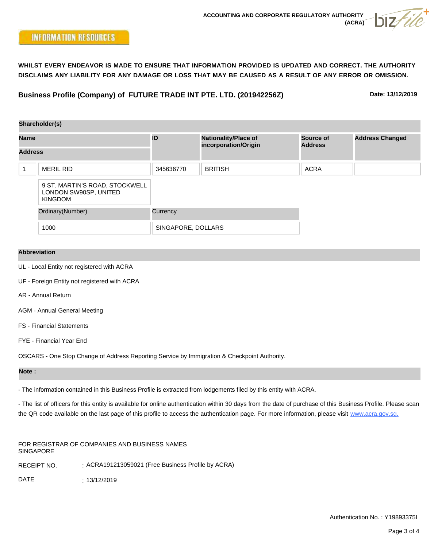**Business Profile (Company) of FUTURE TRADE INT PTE. LTD. (201942256Z)**

**Date: 13/12/2019**

|                | Shareholder(s)                                                            |                    |                                                     |                                    |                        |  |
|----------------|---------------------------------------------------------------------------|--------------------|-----------------------------------------------------|------------------------------------|------------------------|--|
| <b>Name</b>    |                                                                           | ID                 | <b>Nationality/Place of</b><br>incorporation/Origin | <b>Source of</b><br><b>Address</b> | <b>Address Changed</b> |  |
| <b>Address</b> |                                                                           |                    |                                                     |                                    |                        |  |
|                | <b>MERIL RID</b>                                                          | 345636770          | <b>BRITISH</b>                                      | <b>ACRA</b>                        |                        |  |
|                | 9 ST. MARTIN'S ROAD, STOCKWELL<br>LONDON SW90SP, UNITED<br><b>KINGDOM</b> |                    |                                                     |                                    |                        |  |
|                | Ordinary(Number)                                                          | Currency           |                                                     |                                    |                        |  |
|                | 1000                                                                      | SINGAPORE, DOLLARS |                                                     |                                    |                        |  |
|                |                                                                           |                    |                                                     |                                    |                        |  |

## **Abbreviation**

- UL Local Entity not registered with ACRA
- UF Foreign Entity not registered with ACRA
- AR Annual Return
- AGM Annual General Meeting
- FS Financial Statements
- FYE Financial Year End

OSCARS - One Stop Change of Address Reporting Service by Immigration & Checkpoint Authority.

## **Note :**

- The information contained in this Business Profile is extracted from lodgements filed by this entity with ACRA.

- The list of officers for this entity is available for online authentication within 30 days from the date of purchase of this Business Profile. Please scan the QR code available on the last page of this profile to access the authentication page. For more information, please visit www.acra.gov.sg.

FOR REGISTRAR OF COMPANIES AND BUSINESS NAMES SINGAPORE

RECEIPT NO. : ACRA191213059021 (Free Business Profile by ACRA)

DATE : 13/12/2019